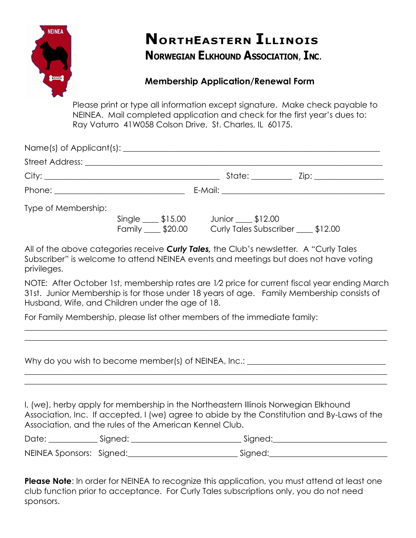

## **NORTHEASTERN ILLINOIS NORWEGIAN ELKHOUND ASSOCIATION, INC.**

## **Membership Application/Renewal Form**

Please print or type all information except signature. Make check payable to NEINEA. Mail completed application and check for the first year's dues to: Ray Vaturro 41W058 Colson Drive, St. Charles, IL 60175.

|                     |                                         |                                                            | State: <u>________</u> Zip: ________________ |
|---------------------|-----------------------------------------|------------------------------------------------------------|----------------------------------------------|
|                     |                                         |                                                            |                                              |
| Type of Membership: |                                         |                                                            |                                              |
|                     | $Single \_\_\$ \$15.00<br>Family 520.00 | Junior ____ \$12.00<br>Curly Tales Subscriber ____ \$12.00 |                                              |

All of the above categories receive *Curly Tales,* the Club's newsletter*.* A "Curly Tales Subscriber" is welcome to attend NEINEA events and meetings but does not have voting privileges.

NOTE: After October 1st, membership rates are 1⁄2 price for current fiscal year ending March 31st. Junior Membership is for those under 18 years of age. Family Membership consists of Husband, Wife, and Children under the age of 18.

For Family Membership, please list other members of the immediate family:

| Why do you wish to become member(s) of NEINEA, Inc.:                                                                                                                                                                                          |  |  |  |  |  |  |
|-----------------------------------------------------------------------------------------------------------------------------------------------------------------------------------------------------------------------------------------------|--|--|--|--|--|--|
| I, (we), herby apply for membership in the Northeastern Illinois Norwegian Elkhound<br>Association, Inc. If accepted, I (we) agree to abide by the Constitution and By-Laws of the<br>Association, and the rules of the American Kennel Club. |  |  |  |  |  |  |
|                                                                                                                                                                                                                                               |  |  |  |  |  |  |
|                                                                                                                                                                                                                                               |  |  |  |  |  |  |

**Please Note**: In order for NEINEA to recognize this application, you must attend at least one club function prior to acceptance. For Curly Tales subscriptions only, you do not need sponsors.